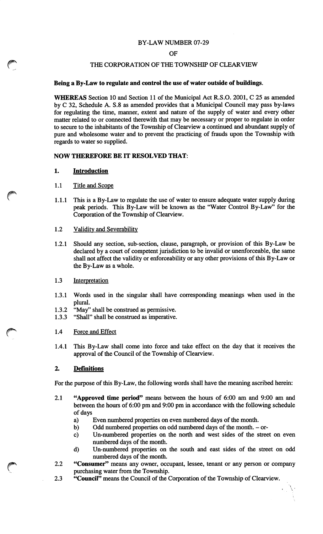### BY-LAW NUMBER 07-29

#### OF

## THE CORPORATION OF THE TOWNSHIP OF CLEARVIEW

### *Being a By-Law to regulate and control the use of water outside of buildings.*

*WHEREAS* Section 10 and Section 11 of the Municipal Act R.S.O. 2001, C 25 as amended by C 32, Schedule A. S.8 as amended provides that a Municipal Council may pass by-laws for regulating the time, manner, extent and nature of the supply of water and every other matter related to or connected therewith that may be necessary or proper to regulate in order to secure to the inhabitants of the Township of Clearview a continued and abundant supply of pure and wholesome water and to prevent the practicing of frauds upon the Township with regards to water so supplied.

## *NOW THEREFORE BE IT RESOLVED THAT:*

## *1. Introduction*

## 1.1 Title and Scope

1.1.1 This is a By-Law to regulate the use of water to ensure adequate water supply during peak periods. This By-Law will be known as the "Water Control By-Law" for the Corporation of the Township of Clearview.

## 1.2 Validity and Severability

1.2.1 Should any section, sub-section, clause, paragraph, or provision of this By-Law be declared by a court of competent jurisdiction to be invalid or unenforceable, the same shall not affect the validity or enforceability or any other provisions of this By-Law or the By-Law as a whole.

## 1.3 Interpretation

- 1.3.1 Words used in the singular shall have corresponding meanings when used in the plural.
- 1.3.2 "May" shall be construed as permissive.
- 1.3.3 "Shall" shall be construed as imperative.

### 1.4 Force and Effect

1.4.1 This By-Law shall come into force and take effect on the day that it receives the approval of the Council of the Township of Clearview.

### 2. *Definitions*

For the purpose of this By-Law, the following words shall have the meaning ascribed herein:

- 2.1 *"Approved time period"* means between the hours of 6:00 am and 9:00 am and between the hours of 6:00 pm and 9:00 pm in accordance with the following schedule of days
	- a) Even numbered properties on even numbered days of the month.
	- b) Odd numbered properties on odd numbered days of the month. or-
	- c) Un-numbered properties on the north and west sides of the street on even numbered days of the month.
	- d) Un-numbered properties on the south and east sides of the street on odd numbered days of the month.
- 2.2 *"Consumer"* means any owner, occupant, lessee, tenant or any person or company purchasing water from the Township.
- 2.3 *"Council"* means the Council of the Corporation of the Township of Clearview.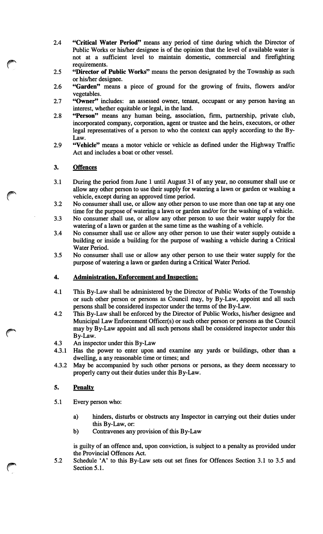- *2.4 "Critical Water Period"* means any period of time during which the Director of Public Works or his/her designee is of the opinion that the level of available water is not at a sufficient level to maintain domestic, commercial and firefighting requirements.
- 2.5 *"Director of Public Works"* means the person designated by the Township as such or his/her designee.
- 2.6 *"Garden"* means a piece of ground for the growing of fruits, flowers and/or vegetables.
- 2.7 *"Owner"* includes: an assessed owner, tenant, occupant or any person having an interest, whether equitable or legal, in the land.
- 2.8 *"Person"* means any human being, association, firm, partnership, private club, incorporated company, corporation, agent or trustee and the heirs, executors, or other legal representatives of a person to who the context can apply according to the By-Law.
- 2.9 *"Vehicle"* means a motor vehicle or vehicle as defined under the Highway Traffic Act and includes a boat or other vessel.

# 3. Offences

- 3.1 During the period from June 1 until August 31 of any year, no consumer shall use or allow any other person to use their supply for watering a lawn or garden or washing a vehicle, except during an approved time period.
- 3.2 No consumer shall use, or allow any other person to use more than one tap at any one time for the purpose of watering a lawn or garden and/or for the washing of a vehicle.
- 3.3 No consumer shall use, or allow any other person to use their water supply for the watering of a lawn or garden at the same time as the washing of a vehicle.
- 3.4 No consumer shall use or allow any other person to use their water supply outside a building or inside a building for the purpose of washing a vehicle during a Critical Water Period.
- 3.5 No consumer shall use or allow any other person to use their water supply for the purpose of watering a lawn or garden during a Critical Water Period.

# *4. Administration, Enforcement and Inspection:*

- 4.1 This By-Law shall be administered by the Director of Public Works of the Township or such other person or persons as Council may, by By-Law, appoint and all such persons shall be considered inspector under the terms of the By-Law.
- 4.2 This By-Law shall be enforced by the Director of Public Works, his/her designee and Municipal Law Enforcement Officer(s) or such other person or persons as the Council may by By-Law appoint and all such persons shall be considered inspector under this By-Law.
- 4.3 An inspector under this By-Law
- 4.3.1 Has the power to enter upon and examine any yards or buildings, other than a dwelling, a any reasonable time or times; and
- 4.3.2 May be accompanied by such other persons or persons, as they deem necessary to properly carry out their duties under this By-Law.

# *5. Penalty*

- 5.1 Every person who:
	- a) hinders, disturbs or obstructs any Inspector in carrying out their duties under this By-Law, or:
	- b) Contravenes any provision of this By-Law

is guilty of an offence and, upon conviction, is subject to a penalty as provided under the Provincial Offences Act.

5.2 Schedule 'A' to this By-Law sets out set fines for Offences Section 3.1 to 3.5 and Section 5.1.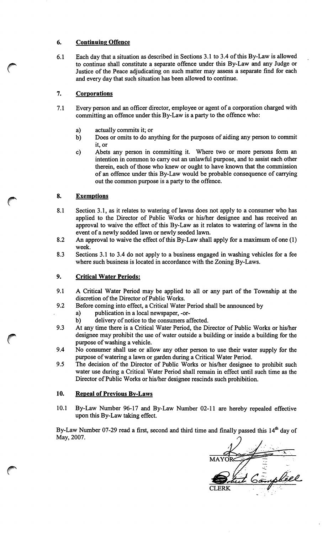# *6. Continuing Offence*

*6.1 Eachday that a situation as described in Sections 3.1 to 3.4 ofthis By-Law is allowed to continue shall constitute a separate offence under this By-Law and any Judge or Justice of the Peace adjudicating on such matter may assess a separate find for each and every day that such situation has been allowed to continue.*

# *7. Corporations*

- *7.1 Every person and an officer director, employee or agent of a corporation charged with committing an offence under this By-Law is a party to the offence who:*
	- *a) actually commits it; or*
	- *b) Does or omits to do anything for the purposes of aiding any person to commit it, or*
	- *c) Abets any person in committing it. Where two or more persons form an intention in common to carry out an unlawful purpose, and to assist each other therein, each of those who knew or ought to have known that the commission of an offence under this By-Law would be probable consequence of carrying out the common purpose is a party to the offence.*

# *8. Exemptions*

- *8.1 Section 3.1, as it relates to watering of lawns does not apply to a consumer who has applied to the Director of Public Works or his/her designee and has received an approval to waive the effect of this By-Law as it relates to watering of lawns in the event ofa newly sodded lawn or newly seeded lawn.*
- *8.2 An approval to waive the effect ofthis By-Law shall apply for a maximum of one (1) week.*
- *8.3 Sections 3.1 to 3.4 do not apply to a business engaged in washing vehicles for a fee where such business is located in accordance with the Zoning By-Laws.*

# *9. Critical Water Periods:*

- *9.1 A Critical Water Period may be applied to all or any part of the Township at the*  $d$ iscretion of the Director of Public Works.
- *9.2 Before coming into effect, a Critical Water Period shall be announced by*
	- *a) publication in a local newspaper, -or-*
	- *b*) delivery of notice to the consumers affected.
- *9.3 At any time there is a Critical Water Period, the Director of Public Works or his/her designee may prohibit the use ofwater outside a building or inside a building for the purpose ofwashing a vehicle.*
- *9.4 No consumer shall use or allow any other person to use their water supply for the purpose ofwatering a lawn or garden during a Critical Water Period.*
- *9.5 The decision of the Director of Public Works or his/her designee to prohibit such water use during a Critical Water Period shall remain in effect until such time as the Director* of Public Works or his/her designee rescinds such prohibition.

# *10. Repeal of Previous By-Laws*

*10.1 By-Law Number 96-17 and By-Law Number 02-11 are hereby repealed effective upon this By-Law taking effect.*

*By-Law Number 07-29 read a first, second and third time and finally passed this 14th day of May, 2007.*

*CLERK*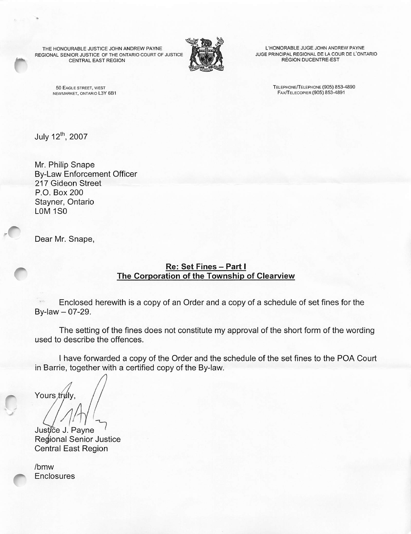THE HONOURABLE JUSTICE JOHN ANDREW PAYNE REGIONAL SENIOR JUSTICE OF THE ONTARIO COURT OF JUSTICE CENTRAL EAST REGION



L'HONORABLE JUGE JOHN ANDREW PAYNE JUGE PRINCIPAL REGIONAL DE LA COUR DE L'ONTARIO REGION DUCENTRE-EST

50 Eagle street, west newmarket, ontario l3y 6b1 Telephone/Telephone (905) 853-4890 FAX/TELECOPIER (905) 853-4891

July 12<sup>th</sup>, 2007

Mr. Philip Snape By-Law Enforcement Officer 217 Gideon Street P.O. Box 200 Stayner, Ontario L0M 1S0

Dear Mr. Snape,

# *Re: Set Fines - Part <sup>I</sup> The Corporation of the Township of Clearview*

Enclosed herewith is a copy of an Order and a copy of a schedule of set fines for the  $By$ -law  $-07$ -29.

The setting of the fines does not constitute my approval of the short form of the wording used to describe the offences.

I have forwarded a copy of the Order and the schedule of the set fines to the POA Court in Barrie, together with a certified copy of the By-law.

Yours truly

*^1* Justice J. Payne Regional Senior Justice Central East Region

/bmw **Enclosures**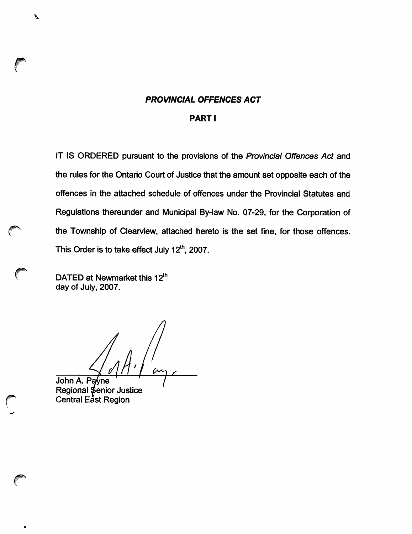## *PROVINCIAL OFFENCES ACT*

#### *PARTI*

*IT IS ORDERED pursuant to the provisions of the Provincial Offences Act and the rules for the Ontario Court of Justice that the amount set opposite each of the offences in the attached schedule of offences under the Provincial Statutes and Regulations thereunder and Municipal By-law No. 07-29, for the Corporation of f^ the Township of Clearview, attached hereto is the set fine, for those offences. This Order is to take effect July 12th, 2007.*

*v DATED at Newmarket this 12th day of July, 2007.*

P

*John A. Payne Regional Senior Justice Central East Region*